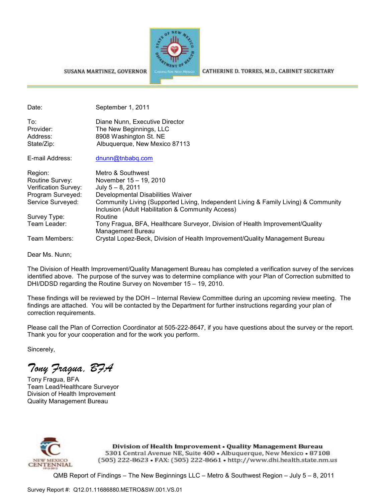

#### SUSANA MARTINEZ, GOVERNOR

Date: September 1, 2011 To: Diane Nunn, Executive Director Provider: The New Beginnings, LLC Address: 8908 Washington St. NE State/Zip: Albuquerque, New Mexico 87113 E-mail Address: dnunn@tnbabq.com Region: Metro & Southwest Routine Survey: November 15 – 19, 2010 Verification Survey: July 5 – 8, 2011 Program Surveyed: Developmental Disabilities Waiver Service Surveyed: Community Living (Supported Living, Independent Living & Family Living) & Community Inclusion (Adult Habilitation & Community Access) Survey Type: Routine Team Leader: Tony Fragua, BFA, Healthcare Surveyor, Division of Health Improvement/Quality Management Bureau Team Members: Crystal Lopez-Beck, Division of Health Improvement/Quality Management Bureau

Dear Ms. Nunn;

The Division of Health Improvement/Quality Management Bureau has completed a verification survey of the services identified above. The purpose of the survey was to determine compliance with your Plan of Correction submitted to DHI/DDSD regarding the Routine Survey on November 15 – 19, 2010.

These findings will be reviewed by the DOH – Internal Review Committee during an upcoming review meeting. The findings are attached. You will be contacted by the Department for further instructions regarding your plan of correction requirements.

Please call the Plan of Correction Coordinator at 505-222-8647, if you have questions about the survey or the report. Thank you for your cooperation and for the work you perform.

Sincerely,

*Tony Fragua, BFA* 

Tony Fragua, BFA Team Lead/Healthcare Surveyor Division of Health Improvement Quality Management Bureau



Division of Health Improvement . Quality Management Bureau 5301 Central Avenue NE, Suite 400 . Albuquerque, New Mexico . 87108 (505) 222-8623 • FAX: (505) 222-8661 • http://www.dhi.health.state.nm.us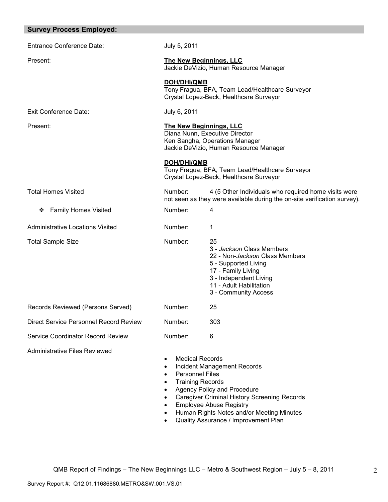| <b>Survey Process Employed:</b>          |                                                                                                                                              |                                                                                                                                                                                                                                          |
|------------------------------------------|----------------------------------------------------------------------------------------------------------------------------------------------|------------------------------------------------------------------------------------------------------------------------------------------------------------------------------------------------------------------------------------------|
| <b>Entrance Conference Date:</b>         | July 5, 2011                                                                                                                                 |                                                                                                                                                                                                                                          |
| Present:                                 | <b>The New Beginnings, LLC</b><br>Jackie DeVizio, Human Resource Manager                                                                     |                                                                                                                                                                                                                                          |
|                                          | DOH/DHI/QMB<br>Tony Fragua, BFA, Team Lead/Healthcare Surveyor<br>Crystal Lopez-Beck, Healthcare Surveyor                                    |                                                                                                                                                                                                                                          |
| Exit Conference Date:                    | July 6, 2011                                                                                                                                 |                                                                                                                                                                                                                                          |
| Present:                                 | <b>The New Beginnings, LLC</b><br>Diana Nunn, Executive Director<br>Ken Sangha, Operations Manager<br>Jackie DeVizio, Human Resource Manager |                                                                                                                                                                                                                                          |
|                                          | <b>DOH/DHI/QMB</b>                                                                                                                           | Tony Fragua, BFA, Team Lead/Healthcare Surveyor<br>Crystal Lopez-Beck, Healthcare Surveyor                                                                                                                                               |
| <b>Total Homes Visited</b>               | Number:<br>4 (5 Other Individuals who required home visits were<br>not seen as they were available during the on-site verification survey).  |                                                                                                                                                                                                                                          |
| ❖ Family Homes Visited                   | Number:                                                                                                                                      | 4                                                                                                                                                                                                                                        |
| <b>Administrative Locations Visited</b>  | Number:                                                                                                                                      | 1                                                                                                                                                                                                                                        |
| <b>Total Sample Size</b>                 | Number:                                                                                                                                      | 25<br>3 - Jackson Class Members<br>22 - Non-Jackson Class Members<br>5 - Supported Living<br>17 - Family Living<br>3 - Independent Living<br>11 - Adult Habilitation<br>3 - Community Access                                             |
| Records Reviewed (Persons Served)        | Number:                                                                                                                                      | 25                                                                                                                                                                                                                                       |
| Direct Service Personnel Record Review   | Number:                                                                                                                                      | 303                                                                                                                                                                                                                                      |
| <b>Service Coordinator Record Review</b> | Number:                                                                                                                                      | 6                                                                                                                                                                                                                                        |
| Administrative Files Reviewed            | <b>Medical Records</b><br><b>Personnel Files</b><br>٠<br><b>Training Records</b><br>٠<br>٠<br>$\bullet$                                      | Incident Management Records<br>Agency Policy and Procedure<br><b>Caregiver Criminal History Screening Records</b><br><b>Employee Abuse Registry</b><br>Human Rights Notes and/or Meeting Minutes<br>Quality Assurance / Improvement Plan |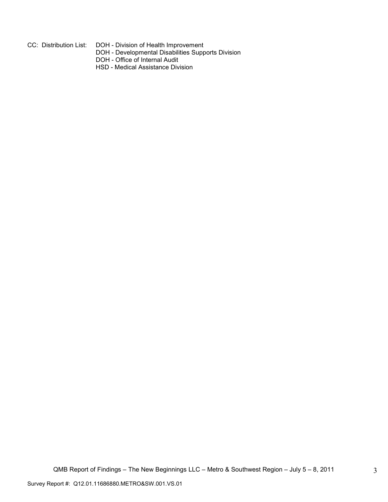- 
- CC: Distribution List: DOH Division of Health Improvement
- DOH Developmental Disabilities Supports Division
	- DOH Office of Internal Audit
	- HSD Medical Assistance Division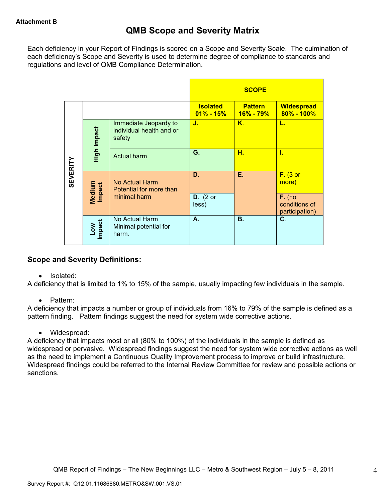Each deficiency in your Report of Findings is scored on a Scope and Severity Scale. The culmination of each deficiency's Scope and Severity is used to determine degree of compliance to standards and regulations and level of QMB Compliance Determination.

|                 |                      |                                                             | <b>SCOPE</b>                     |                                 |                                             |
|-----------------|----------------------|-------------------------------------------------------------|----------------------------------|---------------------------------|---------------------------------------------|
|                 |                      |                                                             | <b>Isolated</b><br>$01\% - 15\%$ | <b>Pattern</b><br>$16\% - 79\%$ | <b>Widespread</b><br>$80\% - 100\%$         |
|                 | High Impact          | Immediate Jeopardy to<br>individual health and or<br>safety | J.                               | K.                              | L.                                          |
|                 |                      | <b>Actual harm</b>                                          | G.                               | н.                              | ī.                                          |
| <b>SEVERITY</b> | Medium<br>Impact     | No Actual Harm<br>Potential for more than                   | D.                               | Е.                              | $F.$ (3 or<br>more)                         |
|                 |                      | minimal harm                                                | $D.$ (2 or<br>less)              |                                 | $F.$ (no<br>conditions of<br>participation) |
|                 | <b>Impact</b><br>Low | No Actual Harm<br>Minimal potential for<br>harm.            | А.                               | <b>B.</b>                       | C.                                          |

# **Scope and Severity Definitions:**

• Isolated:

A deficiency that is limited to 1% to 15% of the sample, usually impacting few individuals in the sample.

• Pattern:

A deficiency that impacts a number or group of individuals from 16% to 79% of the sample is defined as a pattern finding. Pattern findings suggest the need for system wide corrective actions.

• Widespread:

A deficiency that impacts most or all (80% to 100%) of the individuals in the sample is defined as widespread or pervasive. Widespread findings suggest the need for system wide corrective actions as well as the need to implement a Continuous Quality Improvement process to improve or build infrastructure. Widespread findings could be referred to the Internal Review Committee for review and possible actions or sanctions.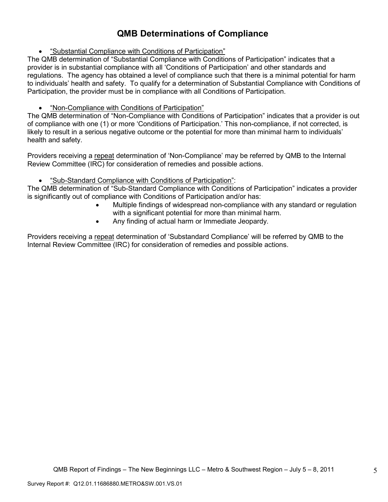# **QMB Determinations of Compliance**

• "Substantial Compliance with Conditions of Participation"

The QMB determination of "Substantial Compliance with Conditions of Participation" indicates that a provider is in substantial compliance with all 'Conditions of Participation' and other standards and regulations. The agency has obtained a level of compliance such that there is a minimal potential for harm to individuals' health and safety. To qualify for a determination of Substantial Compliance with Conditions of Participation, the provider must be in compliance with all Conditions of Participation.

# • "Non-Compliance with Conditions of Participation"

The QMB determination of "Non-Compliance with Conditions of Participation" indicates that a provider is out of compliance with one (1) or more 'Conditions of Participation.' This non-compliance, if not corrected, is likely to result in a serious negative outcome or the potential for more than minimal harm to individuals' health and safety.

Providers receiving a repeat determination of 'Non-Compliance' may be referred by QMB to the Internal Review Committee (IRC) for consideration of remedies and possible actions.

# • "Sub-Standard Compliance with Conditions of Participation":

The QMB determination of "Sub-Standard Compliance with Conditions of Participation" indicates a provider is significantly out of compliance with Conditions of Participation and/or has:

- Multiple findings of widespread non-compliance with any standard or regulation with a significant potential for more than minimal harm.
- Any finding of actual harm or Immediate Jeopardy.

Providers receiving a repeat determination of 'Substandard Compliance' will be referred by QMB to the Internal Review Committee (IRC) for consideration of remedies and possible actions.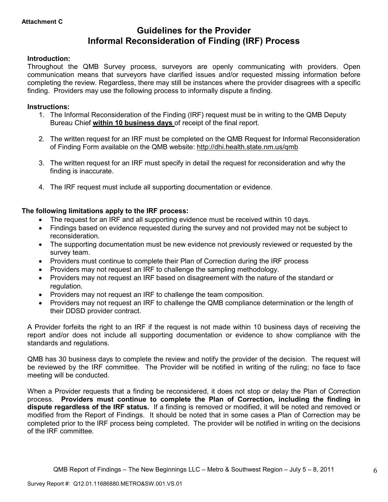# **Guidelines for the Provider Informal Reconsideration of Finding (IRF) Process**

### **Introduction:**

Throughout the QMB Survey process, surveyors are openly communicating with providers. Open communication means that surveyors have clarified issues and/or requested missing information before completing the review. Regardless, there may still be instances where the provider disagrees with a specific finding. Providers may use the following process to informally dispute a finding.

#### **Instructions:**

- 1. The Informal Reconsideration of the Finding (IRF) request must be in writing to the QMB Deputy Bureau Chief **within 10 business days** of receipt of the final report.
- 2. The written request for an IRF must be completed on the QMB Request for Informal Reconsideration of Finding Form available on the QMB website: http://dhi.health.state.nm.us/qmb
- 3. The written request for an IRF must specify in detail the request for reconsideration and why the finding is inaccurate.
- 4. The IRF request must include all supporting documentation or evidence.

# **The following limitations apply to the IRF process:**

- The request for an IRF and all supporting evidence must be received within 10 days.
- Findings based on evidence requested during the survey and not provided may not be subject to reconsideration.
- The supporting documentation must be new evidence not previously reviewed or requested by the survey team.
- Providers must continue to complete their Plan of Correction during the IRF process
- Providers may not request an IRF to challenge the sampling methodology.
- Providers may not request an IRF based on disagreement with the nature of the standard or regulation.
- Providers may not request an IRF to challenge the team composition.
- Providers may not request an IRF to challenge the QMB compliance determination or the length of their DDSD provider contract.

A Provider forfeits the right to an IRF if the request is not made within 10 business days of receiving the report and/or does not include all supporting documentation or evidence to show compliance with the standards and regulations.

QMB has 30 business days to complete the review and notify the provider of the decision. The request will be reviewed by the IRF committee. The Provider will be notified in writing of the ruling; no face to face meeting will be conducted.

When a Provider requests that a finding be reconsidered, it does not stop or delay the Plan of Correction process. **Providers must continue to complete the Plan of Correction, including the finding in dispute regardless of the IRF status.** If a finding is removed or modified, it will be noted and removed or modified from the Report of Findings. It should be noted that in some cases a Plan of Correction may be completed prior to the IRF process being completed. The provider will be notified in writing on the decisions of the IRF committee.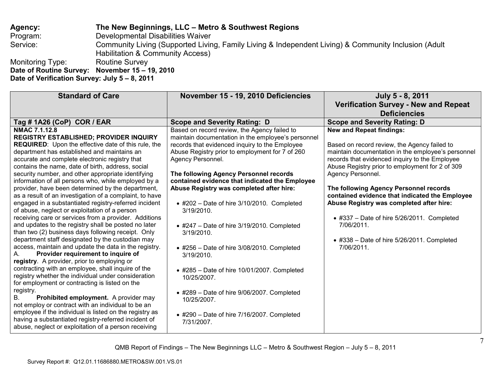**Agency: The New Beginnings, LLC – Metro & Southwest Regions** Program: Developmental Disabilities Waiver Service: Community Living (Supported Living, Family Living & Independent Living) & Community Inclusion (Adult Habilitation & Community Access)<br>Routine Survey Monitoring Type: **Date of Routine Survey: November 15 – 19, 2010 Date of Verification Survey: July 5 – 8, 2011** 

| <b>Standard of Care</b>                                                                                                                                                                                                                                                                                                                                                                                                                                                                                                                                                                                                                                                                                                                                                                                                                                                                                                                                                                                                                                                                                                                                                                                                                                                                                                                                                                                                                                                     | November 15 - 19, 2010 Deficiencies                                                                                                                                                                                                                                                                                                                                                                                                                                                                                                                                                                                                                                                                                                                                                             | July 5 - 8, 2011<br><b>Verification Survey - New and Repeat</b><br><b>Deficiencies</b>                                                                                                                                                                                                                                                                                                                                                                                                                                                          |
|-----------------------------------------------------------------------------------------------------------------------------------------------------------------------------------------------------------------------------------------------------------------------------------------------------------------------------------------------------------------------------------------------------------------------------------------------------------------------------------------------------------------------------------------------------------------------------------------------------------------------------------------------------------------------------------------------------------------------------------------------------------------------------------------------------------------------------------------------------------------------------------------------------------------------------------------------------------------------------------------------------------------------------------------------------------------------------------------------------------------------------------------------------------------------------------------------------------------------------------------------------------------------------------------------------------------------------------------------------------------------------------------------------------------------------------------------------------------------------|-------------------------------------------------------------------------------------------------------------------------------------------------------------------------------------------------------------------------------------------------------------------------------------------------------------------------------------------------------------------------------------------------------------------------------------------------------------------------------------------------------------------------------------------------------------------------------------------------------------------------------------------------------------------------------------------------------------------------------------------------------------------------------------------------|-------------------------------------------------------------------------------------------------------------------------------------------------------------------------------------------------------------------------------------------------------------------------------------------------------------------------------------------------------------------------------------------------------------------------------------------------------------------------------------------------------------------------------------------------|
| Tag # 1A26 (CoP) COR / EAR                                                                                                                                                                                                                                                                                                                                                                                                                                                                                                                                                                                                                                                                                                                                                                                                                                                                                                                                                                                                                                                                                                                                                                                                                                                                                                                                                                                                                                                  | <b>Scope and Severity Rating: D</b>                                                                                                                                                                                                                                                                                                                                                                                                                                                                                                                                                                                                                                                                                                                                                             | <b>Scope and Severity Rating: D</b>                                                                                                                                                                                                                                                                                                                                                                                                                                                                                                             |
| <b>NMAC 7.1.12.8</b><br><b>REGISTRY ESTABLISHED; PROVIDER INQUIRY</b><br><b>REQUIRED:</b> Upon the effective date of this rule, the<br>department has established and maintains an<br>accurate and complete electronic registry that<br>contains the name, date of birth, address, social<br>security number, and other appropriate identifying<br>information of all persons who, while employed by a<br>provider, have been determined by the department,<br>as a result of an investigation of a complaint, to have<br>engaged in a substantiated registry-referred incident<br>of abuse, neglect or exploitation of a person<br>receiving care or services from a provider. Additions<br>and updates to the registry shall be posted no later<br>than two (2) business days following receipt. Only<br>department staff designated by the custodian may<br>access, maintain and update the data in the registry.<br>Provider requirement to inquire of<br>А.<br>registry. A provider, prior to employing or<br>contracting with an employee, shall inquire of the<br>registry whether the individual under consideration<br>for employment or contracting is listed on the<br>registry.<br>Prohibited employment. A provider may<br>В.<br>not employ or contract with an individual to be an<br>employee if the individual is listed on the registry as<br>having a substantiated registry-referred incident of<br>abuse, neglect or exploitation of a person receiving | Based on record review, the Agency failed to<br>maintain documentation in the employee's personnel<br>records that evidenced inquiry to the Employee<br>Abuse Registry prior to employment for 7 of 260<br>Agency Personnel.<br>The following Agency Personnel records<br>contained evidence that indicated the Employee<br>Abuse Registry was completed after hire:<br>$\bullet$ #202 - Date of hire 3/10/2010. Completed<br>3/19/2010.<br>$\bullet$ #247 - Date of hire 3/19/2010. Completed<br>3/19/2010.<br>$\bullet$ #256 - Date of hire 3/08/2010. Completed<br>3/19/2010.<br>$\bullet$ #285 - Date of hire 10/01/2007. Completed<br>10/25/2007.<br>$\bullet$ #289 - Date of hire 9/06/2007. Completed<br>10/25/2007.<br>$\bullet$ #290 - Date of hire 7/16/2007. Completed<br>7/31/2007. | <b>New and Repeat findings:</b><br>Based on record review, the Agency failed to<br>maintain documentation in the employee's personnel<br>records that evidenced inquiry to the Employee<br>Abuse Registry prior to employment for 2 of 309<br>Agency Personnel.<br>The following Agency Personnel records<br>contained evidence that indicated the Employee<br>Abuse Registry was completed after hire:<br>$\bullet$ #337 - Date of hire 5/26/2011. Completed<br>7/06/2011.<br>$\bullet$ #338 - Date of hire 5/26/2011. Completed<br>7/06/2011. |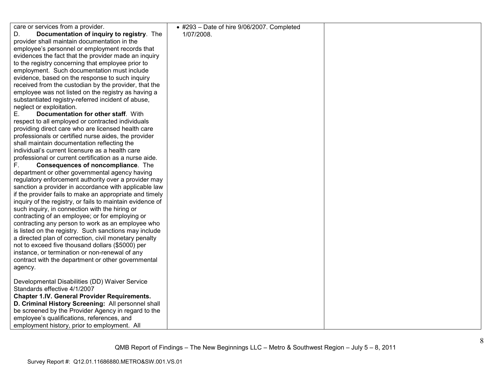care or services from a provider. D. **Documentation of inquiry to registry**. The provider shall maintain documentation in the employee's personnel or employment records that evidences the fact that the provider made an inquiry to the registry concerning that employee prior to employment. Such documentation must include evidence, based on the response to such inquiry received from the custodian by the provider, that the employee was not listed on the registry as having asubstantiated registry-referred incident of abuse, neglect or exploitation. E. **Documentation for other staff**. With respect to all employed or contracted individuals providing direct care who are licensed health care professionals or certified nurse aides, the provider shall maintain documentation reflecting the individual's current licensure as a health care professional or current certification as a nurse aide. F. **Consequences of noncompliance**. The department or other governmental agency having regulatory enforcement authority over a provider may sanction a provider in accordance with applicable law if the provider fails to make an appropriate and timely inquiry of the registry, or fails to maintain evidence of such inquiry, in connection with the hiring or contracting of an employee; or for employing or contracting any person to work as an employee who is listed on the registry. Such sanctions may include a directed plan of correction, civil monetary penalty not to exceed five thousand dollars (\$5000) per instance, or termination or non-renewal of any contract with the department or other governmental agency. Developmental Disabilities (DD) Waiver Service Standards effective 4/1/2007 **Chapter 1.IV. General Provider Requirements. D. Criminal History Screening:** All personnel shall be screened by the Provider Agency in regard to theemployee's qualifications, references, and employment history, prior to employment. All • #293 – Date of hire 9/06/2007. Completed 1/07/2008.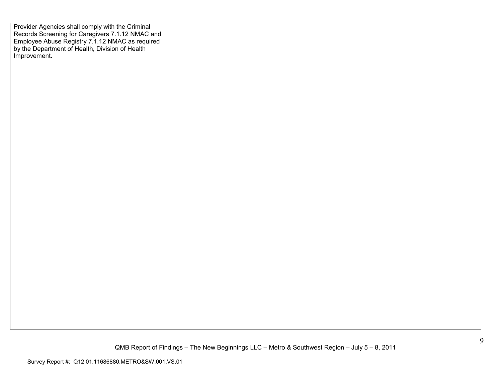Provider Agencies shall comply with the Criminal Records Screening for Caregivers 7.1.12 NMAC and Employee Abuse Registry 7.1.12 NMAC as required by the Department of Health, Division of Health Improvement.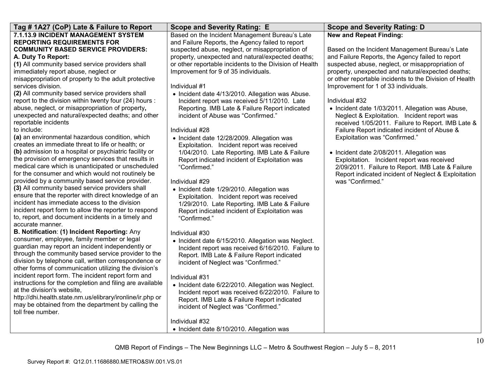| Tag # 1A27 (CoP) Late & Failure to Report                 | <b>Scope and Severity Rating: E</b>                     | <b>Scope and Severity Rating: D</b>                     |
|-----------------------------------------------------------|---------------------------------------------------------|---------------------------------------------------------|
| 7.1.13.9 INCIDENT MANAGEMENT SYSTEM                       | Based on the Incident Management Bureau's Late          | <b>New and Repeat Finding:</b>                          |
| <b>REPORTING REQUIREMENTS FOR</b>                         | and Failure Reports, the Agency failed to report        |                                                         |
| <b>COMMUNITY BASED SERVICE PROVIDERS:</b>                 | suspected abuse, neglect, or misappropriation of        | Based on the Incident Management Bureau's Late          |
| A. Duty To Report:                                        | property, unexpected and natural/expected deaths;       | and Failure Reports, the Agency failed to report        |
| (1) All community based service providers shall           | or other reportable incidents to the Division of Health | suspected abuse, neglect, or misappropriation of        |
| immediately report abuse, neglect or                      | Improvement for 9 of 35 individuals.                    | property, unexpected and natural/expected deaths;       |
| misappropriation of property to the adult protective      |                                                         | or other reportable incidents to the Division of Health |
| services division.                                        | Individual #1                                           | Improvement for 1 of 33 individuals.                    |
| (2) All community based service providers shall           | • Incident date 4/13/2010. Allegation was Abuse.        |                                                         |
| report to the division within twenty four (24) hours :    | Incident report was received 5/11/2010. Late            | Individual #32                                          |
| abuse, neglect, or misappropriation of property,          | Reporting. IMB Late & Failure Report indicated          | • Incident date 1/03/2011. Allegation was Abuse,        |
| unexpected and natural/expected deaths; and other         | incident of Abuse was "Confirmed."                      | Neglect & Exploitation. Incident report was             |
| reportable incidents                                      |                                                         | received 1/05/2011. Failure to Report. IMB Late &       |
| to include:                                               | Individual #28                                          | Failure Report indicated incident of Abuse &            |
| (a) an environmental hazardous condition, which           | • Incident date 12/28/2009. Allegation was              | Exploitation was "Confirmed."                           |
| creates an immediate threat to life or health; or         | Exploitation. Incident report was received              |                                                         |
| (b) admission to a hospital or psychiatric facility or    | 1/04/2010. Late Reporting. IMB Late & Failure           | • Incident date 2/08/2011. Allegation was               |
| the provision of emergency services that results in       | Report indicated incident of Exploitation was           | Exploitation. Incident report was received              |
| medical care which is unanticipated or unscheduled        | "Confirmed."                                            | 2/09/2011. Failure to Report. IMB Late & Failure        |
| for the consumer and which would not routinely be         |                                                         | Report indicated incident of Neglect & Exploitation     |
| provided by a community based service provider.           | Individual #29                                          | was "Confirmed."                                        |
| (3) All community based service providers shall           | • Incident date 1/29/2010. Allegation was               |                                                         |
| ensure that the reporter with direct knowledge of an      | Exploitation. Incident report was received              |                                                         |
| incident has immediate access to the division             | 1/29/2010. Late Reporting. IMB Late & Failure           |                                                         |
| incident report form to allow the reporter to respond     | Report indicated incident of Exploitation was           |                                                         |
| to, report, and document incidents in a timely and        | "Confirmed."                                            |                                                         |
| accurate manner.                                          |                                                         |                                                         |
| B. Notification: (1) Incident Reporting: Any              | Individual #30                                          |                                                         |
| consumer, employee, family member or legal                | • Incident date 6/15/2010. Allegation was Neglect.      |                                                         |
| guardian may report an incident independently or          | Incident report was received 6/16/2010. Failure to      |                                                         |
| through the community based service provider to the       | Report. IMB Late & Failure Report indicated             |                                                         |
| division by telephone call, written correspondence or     | incident of Neglect was "Confirmed."                    |                                                         |
| other forms of communication utilizing the division's     |                                                         |                                                         |
| incident report form. The incident report form and        | Individual #31                                          |                                                         |
| instructions for the completion and filing are available  | • Incident date 6/22/2010. Allegation was Neglect.      |                                                         |
| at the division's website,                                | Incident report was received 6/22/2010. Failure to      |                                                         |
| http://dhi.health.state.nm.us/elibrary/ironline/ir.php or | Report. IMB Late & Failure Report indicated             |                                                         |
| may be obtained from the department by calling the        | incident of Neglect was "Confirmed."                    |                                                         |
| toll free number.                                         |                                                         |                                                         |
|                                                           | Individual #32                                          |                                                         |
|                                                           | • Incident date 8/10/2010. Allegation was               |                                                         |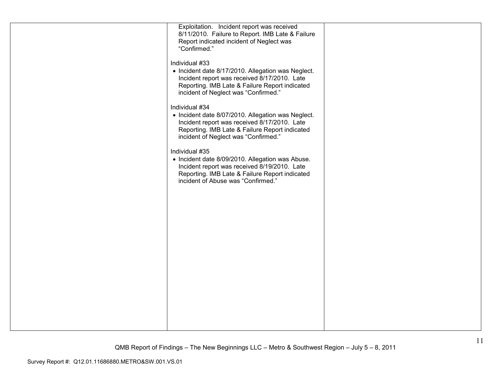| Exploitation. Incident report was received<br>8/11/2010. Failure to Report. IMB Late & Failure<br>Report indicated incident of Neglect was<br>"Confirmed."                                                                                                                                                                                                                               |  |
|------------------------------------------------------------------------------------------------------------------------------------------------------------------------------------------------------------------------------------------------------------------------------------------------------------------------------------------------------------------------------------------|--|
| Individual #33<br>• Incident date 8/17/2010. Allegation was Neglect.<br>Incident report was received 8/17/2010. Late<br>Reporting. IMB Late & Failure Report indicated<br>incident of Neglect was "Confirmed."<br>Individual #34<br>• Incident date 8/07/2010. Allegation was Neglect.<br>Incident report was received 8/17/2010. Late<br>Reporting. IMB Late & Failure Report indicated |  |
| incident of Neglect was "Confirmed."<br>Individual #35<br>• Incident date 8/09/2010. Allegation was Abuse.<br>Incident report was received 8/19/2010. Late                                                                                                                                                                                                                               |  |
| Reporting. IMB Late & Failure Report indicated<br>incident of Abuse was "Confirmed."                                                                                                                                                                                                                                                                                                     |  |
|                                                                                                                                                                                                                                                                                                                                                                                          |  |
|                                                                                                                                                                                                                                                                                                                                                                                          |  |
|                                                                                                                                                                                                                                                                                                                                                                                          |  |
|                                                                                                                                                                                                                                                                                                                                                                                          |  |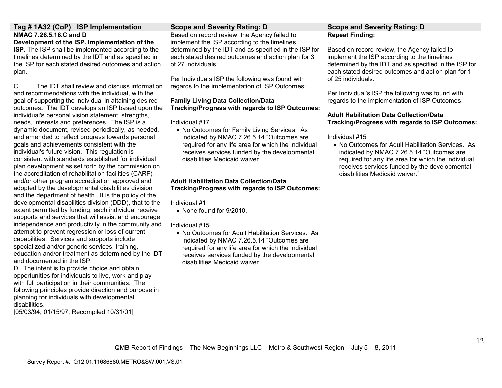| Tag # 1A32 (CoP) ISP Implementation                                                                          | <b>Scope and Severity Rating: D</b>                                                                  | <b>Scope and Severity Rating: D</b>                                                                         |
|--------------------------------------------------------------------------------------------------------------|------------------------------------------------------------------------------------------------------|-------------------------------------------------------------------------------------------------------------|
| NMAC 7.26.5.16.C and D                                                                                       | Based on record review, the Agency failed to                                                         | <b>Repeat Finding:</b>                                                                                      |
| Development of the ISP. Implementation of the                                                                | implement the ISP according to the timelines                                                         |                                                                                                             |
| ISP. The ISP shall be implemented according to the                                                           | determined by the IDT and as specified in the ISP for                                                | Based on record review, the Agency failed to                                                                |
| timelines determined by the IDT and as specified in                                                          | each stated desired outcomes and action plan for 3                                                   | implement the ISP according to the timelines                                                                |
| the ISP for each stated desired outcomes and action                                                          | of 27 individuals.                                                                                   | determined by the IDT and as specified in the ISP for<br>each stated desired outcomes and action plan for 1 |
| plan.                                                                                                        | Per Individuals ISP the following was found with                                                     | of 25 individuals.                                                                                          |
| The IDT shall review and discuss information<br>C.                                                           | regards to the implementation of ISP Outcomes:                                                       |                                                                                                             |
| and recommendations with the individual, with the                                                            |                                                                                                      | Per Individual's ISP the following was found with                                                           |
| goal of supporting the individual in attaining desired                                                       | <b>Family Living Data Collection/Data</b>                                                            | regards to the implementation of ISP Outcomes:                                                              |
| outcomes. The IDT develops an ISP based upon the                                                             | <b>Tracking/Progress with regards to ISP Outcomes:</b>                                               |                                                                                                             |
| individual's personal vision statement, strengths,                                                           |                                                                                                      | <b>Adult Habilitation Data Collection/Data</b>                                                              |
| needs, interests and preferences. The ISP is a                                                               | Individual #17                                                                                       | Tracking/Progress with regards to ISP Outcomes:                                                             |
| dynamic document, revised periodically, as needed,                                                           | • No Outcomes for Family Living Services. As                                                         |                                                                                                             |
| and amended to reflect progress towards personal<br>goals and achievements consistent with the               | indicated by NMAC 7.26.5.14 "Outcomes are                                                            | Individual #15<br>• No Outcomes for Adult Habilitation Services. As                                         |
| individual's future vision. This regulation is                                                               | required for any life area for which the individual<br>receives services funded by the developmental | indicated by NMAC 7.26.5.14 "Outcomes are                                                                   |
| consistent with standards established for individual                                                         | disabilities Medicaid waiver."                                                                       | required for any life area for which the individual                                                         |
| plan development as set forth by the commission on                                                           |                                                                                                      | receives services funded by the developmental                                                               |
| the accreditation of rehabilitation facilities (CARF)                                                        |                                                                                                      | disabilities Medicaid waiver."                                                                              |
| and/or other program accreditation approved and                                                              | <b>Adult Habilitation Data Collection/Data</b>                                                       |                                                                                                             |
| adopted by the developmental disabilities division                                                           | Tracking/Progress with regards to ISP Outcomes:                                                      |                                                                                                             |
| and the department of health. It is the policy of the                                                        |                                                                                                      |                                                                                                             |
| developmental disabilities division (DDD), that to the                                                       | Individual #1                                                                                        |                                                                                                             |
| extent permitted by funding, each individual receive<br>supports and services that will assist and encourage | • None found for 9/2010.                                                                             |                                                                                                             |
| independence and productivity in the community and                                                           | Individual #15                                                                                       |                                                                                                             |
| attempt to prevent regression or loss of current                                                             | • No Outcomes for Adult Habilitation Services. As                                                    |                                                                                                             |
| capabilities. Services and supports include                                                                  | indicated by NMAC 7.26.5.14 "Outcomes are                                                            |                                                                                                             |
| specialized and/or generic services, training,                                                               | required for any life area for which the individual                                                  |                                                                                                             |
| education and/or treatment as determined by the IDT                                                          | receives services funded by the developmental                                                        |                                                                                                             |
| and documented in the ISP.                                                                                   | disabilities Medicaid waiver."                                                                       |                                                                                                             |
| D. The intent is to provide choice and obtain                                                                |                                                                                                      |                                                                                                             |
| opportunities for individuals to live, work and play                                                         |                                                                                                      |                                                                                                             |
| with full participation in their communities. The<br>following principles provide direction and purpose in   |                                                                                                      |                                                                                                             |
| planning for individuals with developmental                                                                  |                                                                                                      |                                                                                                             |
| disabilities.                                                                                                |                                                                                                      |                                                                                                             |
| [05/03/94; 01/15/97; Recompiled 10/31/01]                                                                    |                                                                                                      |                                                                                                             |
|                                                                                                              |                                                                                                      |                                                                                                             |
|                                                                                                              |                                                                                                      |                                                                                                             |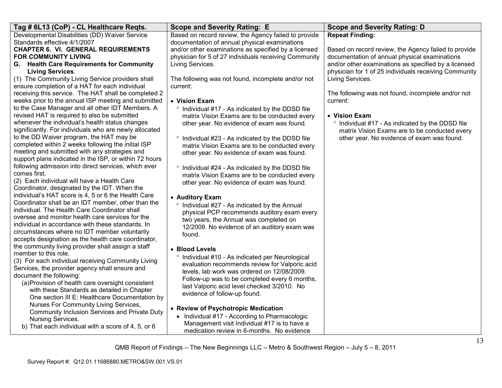| Tag # 6L13 (CoP) - CL Healthcare Reqts.                                                             | <b>Scope and Severity Rating: E</b>                                                    | <b>Scope and Severity Rating: D</b>                                       |
|-----------------------------------------------------------------------------------------------------|----------------------------------------------------------------------------------------|---------------------------------------------------------------------------|
| Developmental Disabilities (DD) Waiver Service                                                      | Based on record review, the Agency failed to provide                                   | <b>Repeat Finding:</b>                                                    |
| Standards effective 4/1/2007                                                                        | documentation of annual physical examinations                                          |                                                                           |
| <b>CHAPTER 6. VI. GENERAL REQUIREMENTS</b>                                                          | and/or other examinations as specified by a licensed                                   | Based on record review, the Agency failed to provide                      |
| <b>FOR COMMUNITY LIVING</b>                                                                         | physician for 5 of 27 individuals receiving Community                                  | documentation of annual physical examinations                             |
| G. Health Care Requirements for Community                                                           | Living Services.                                                                       | and/or other examinations as specified by a licensed                      |
| <b>Living Services.</b><br>(1) The Community Living Service providers shall                         | The following was not found, incomplete and/or not                                     | physician for 1 of 25 individuals receiving Community<br>Living Services. |
| ensure completion of a HAT for each individual                                                      | current:                                                                               |                                                                           |
| receiving this service. The HAT shall be completed 2                                                |                                                                                        | The following was not found, incomplete and/or not                        |
| weeks prior to the annual ISP meeting and submitted                                                 | • Vision Exam                                                                          | current:                                                                  |
| to the Case Manager and all other IDT Members. A                                                    | ° Individual #17 - As indicated by the DDSD file                                       |                                                                           |
| revised HAT is required to also be submitted                                                        | matrix Vision Exams are to be conducted every                                          | • Vision Exam                                                             |
| whenever the individual's health status changes                                                     | other year. No evidence of exam was found.                                             | ° Individual #17 - As indicated by the DDSD file                          |
| significantly. For individuals who are newly allocated                                              |                                                                                        | matrix Vision Exams are to be conducted every                             |
| to the DD Waiver program, the HAT may be                                                            | • Individual #23 - As indicated by the DDSD file                                       | other year. No evidence of exam was found.                                |
| completed within 2 weeks following the initial ISP                                                  | matrix Vision Exams are to be conducted every                                          |                                                                           |
| meeting and submitted with any strategies and                                                       | other year. No evidence of exam was found.                                             |                                                                           |
| support plans indicated in the ISP, or within 72 hours                                              |                                                                                        |                                                                           |
| following admission into direct services, which ever                                                | • Individual #24 - As indicated by the DDSD file                                       |                                                                           |
| comes first.                                                                                        | matrix Vision Exams are to be conducted every                                          |                                                                           |
| (2) Each individual will have a Health Care                                                         | other year. No evidence of exam was found.                                             |                                                                           |
| Coordinator, designated by the IDT. When the<br>individual's HAT score is 4, 5 or 6 the Health Care |                                                                                        |                                                                           |
| Coordinator shall be an IDT member, other than the                                                  | • Auditory Exam                                                                        |                                                                           |
| individual. The Health Care Coordinator shall                                                       | <sup>o</sup> Individual #27 - As indicated by the Annual                               |                                                                           |
| oversee and monitor health care services for the                                                    | physical PCP recommends auditory exam every                                            |                                                                           |
| individual in accordance with these standards. In                                                   | two years, the Annual was completed on<br>12/2009. No evidence of an auditory exam was |                                                                           |
| circumstances where no IDT member voluntarily                                                       | found.                                                                                 |                                                                           |
| accepts designation as the health care coordinator,                                                 |                                                                                        |                                                                           |
| the community living provider shall assign a staff                                                  | • Blood Levels                                                                         |                                                                           |
| member to this role.                                                                                | <sup>o</sup> Individual #10 - As indicated per Neurological                            |                                                                           |
| (3) For each individual receiving Community Living                                                  | evaluation recommends review for Valporic acid                                         |                                                                           |
| Services, the provider agency shall ensure and                                                      | levels. lab work was ordered on 12/08/2009.                                            |                                                                           |
| document the following:                                                                             | Follow-up was to be completed every 6 months,                                          |                                                                           |
| (a) Provision of health care oversight consistent                                                   | last Valporic acid level checked 3/2010. No                                            |                                                                           |
| with these Standards as detailed in Chapter<br>One section III E: Healthcare Documentation by       | evidence of follow-up found.                                                           |                                                                           |
| Nurses For Community Living Services,                                                               |                                                                                        |                                                                           |
| Community Inclusion Services and Private Duty                                                       | • Review of Psychotropic Medication                                                    |                                                                           |
| Nursing Services.                                                                                   | • Individual #17 - According to Pharmacologic                                          |                                                                           |
| b) That each individual with a score of 4, 5, or 6                                                  | Management visit Individual #17 is to have a                                           |                                                                           |
|                                                                                                     | medication review in 6-months. No evidence                                             |                                                                           |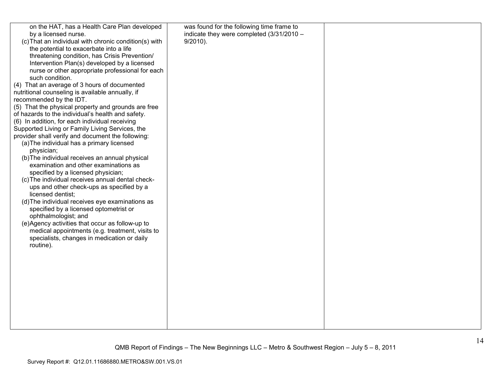| on the HAT, has a Health Care Plan developed<br>by a licensed nurse.<br>(c) That an individual with chronic condition(s) with<br>the potential to exacerbate into a life<br>threatening condition, has Crisis Prevention/<br>Intervention Plan(s) developed by a licensed<br>nurse or other appropriate professional for each<br>such condition.<br>(4) That an average of 3 hours of documented<br>nutritional counseling is available annually, if<br>recommended by the IDT.<br>(5) That the physical property and grounds are free<br>of hazards to the individual's health and safety.<br>(6) In addition, for each individual receiving<br>Supported Living or Family Living Services, the<br>provider shall verify and document the following:<br>(a) The individual has a primary licensed<br>physician;<br>(b) The individual receives an annual physical<br>examination and other examinations as<br>specified by a licensed physician;<br>(c) The individual receives annual dental check-<br>ups and other check-ups as specified by a<br>licensed dentist;<br>(d) The individual receives eye examinations as<br>specified by a licensed optometrist or<br>ophthalmologist; and<br>(e)Agency activities that occur as follow-up to<br>medical appointments (e.g. treatment, visits to<br>specialists, changes in medication or daily<br>routine). | was found for the following time frame to<br>indicate they were completed $(3/31/2010 -$<br>$9/2010$ ). |  |
|----------------------------------------------------------------------------------------------------------------------------------------------------------------------------------------------------------------------------------------------------------------------------------------------------------------------------------------------------------------------------------------------------------------------------------------------------------------------------------------------------------------------------------------------------------------------------------------------------------------------------------------------------------------------------------------------------------------------------------------------------------------------------------------------------------------------------------------------------------------------------------------------------------------------------------------------------------------------------------------------------------------------------------------------------------------------------------------------------------------------------------------------------------------------------------------------------------------------------------------------------------------------------------------------------------------------------------------------------------------|---------------------------------------------------------------------------------------------------------|--|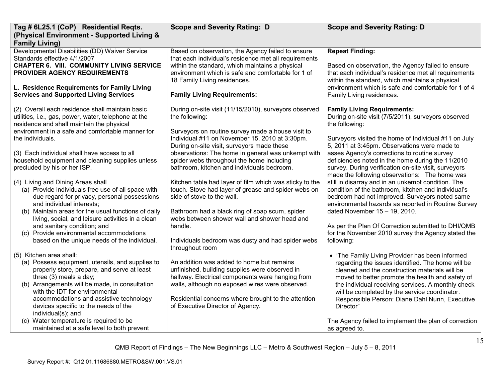| Tag # 6L25.1 (CoP) Residential Reqts.                                                                                                                                                                                                                                                                                                                                                                                                                                                                                                                                                                                                                                                                                                                                                                                                                                                                                                                                                                                                                                  | <b>Scope and Severity Rating: D</b>                                                                                                                                                                                                                                                                                                                                                                                                                                                                                                                                                                                                                                                                                                                                                                                                                                                                                                                                             | <b>Scope and Severity Rating: D</b>                                                                                                                                                                                                                                                                                                                                                                                                                                                                                                                                                                                                                                                                                                                                                                                                                                                                                                                                                                                                                                                                                                                                                       |
|------------------------------------------------------------------------------------------------------------------------------------------------------------------------------------------------------------------------------------------------------------------------------------------------------------------------------------------------------------------------------------------------------------------------------------------------------------------------------------------------------------------------------------------------------------------------------------------------------------------------------------------------------------------------------------------------------------------------------------------------------------------------------------------------------------------------------------------------------------------------------------------------------------------------------------------------------------------------------------------------------------------------------------------------------------------------|---------------------------------------------------------------------------------------------------------------------------------------------------------------------------------------------------------------------------------------------------------------------------------------------------------------------------------------------------------------------------------------------------------------------------------------------------------------------------------------------------------------------------------------------------------------------------------------------------------------------------------------------------------------------------------------------------------------------------------------------------------------------------------------------------------------------------------------------------------------------------------------------------------------------------------------------------------------------------------|-------------------------------------------------------------------------------------------------------------------------------------------------------------------------------------------------------------------------------------------------------------------------------------------------------------------------------------------------------------------------------------------------------------------------------------------------------------------------------------------------------------------------------------------------------------------------------------------------------------------------------------------------------------------------------------------------------------------------------------------------------------------------------------------------------------------------------------------------------------------------------------------------------------------------------------------------------------------------------------------------------------------------------------------------------------------------------------------------------------------------------------------------------------------------------------------|
| (Physical Environment - Supported Living &<br><b>Family Living)</b>                                                                                                                                                                                                                                                                                                                                                                                                                                                                                                                                                                                                                                                                                                                                                                                                                                                                                                                                                                                                    |                                                                                                                                                                                                                                                                                                                                                                                                                                                                                                                                                                                                                                                                                                                                                                                                                                                                                                                                                                                 |                                                                                                                                                                                                                                                                                                                                                                                                                                                                                                                                                                                                                                                                                                                                                                                                                                                                                                                                                                                                                                                                                                                                                                                           |
| Developmental Disabilities (DD) Waiver Service<br>Standards effective 4/1/2007<br><b>CHAPTER 6. VIII. COMMUNITY LIVING SERVICE</b><br><b>PROVIDER AGENCY REQUIREMENTS</b><br>L. Residence Requirements for Family Living<br><b>Services and Supported Living Services</b>                                                                                                                                                                                                                                                                                                                                                                                                                                                                                                                                                                                                                                                                                                                                                                                              | Based on observation, the Agency failed to ensure<br>that each individual's residence met all requirements<br>within the standard, which maintains a physical<br>environment which is safe and comfortable for 1 of<br>18 Family Living residences.<br><b>Family Living Requirements:</b>                                                                                                                                                                                                                                                                                                                                                                                                                                                                                                                                                                                                                                                                                       | <b>Repeat Finding:</b><br>Based on observation, the Agency failed to ensure<br>that each individual's residence met all requirements<br>within the standard, which maintains a physical<br>environment which is safe and comfortable for 1 of 4<br>Family Living residences.                                                                                                                                                                                                                                                                                                                                                                                                                                                                                                                                                                                                                                                                                                                                                                                                                                                                                                              |
| (2) Overall each residence shall maintain basic<br>utilities, i.e., gas, power, water, telephone at the<br>residence and shall maintain the physical<br>environment in a safe and comfortable manner for<br>the individuals.<br>(3) Each individual shall have access to all<br>household equipment and cleaning supplies unless<br>precluded by his or her ISP.<br>(4) Living and Dining Areas shall<br>(a) Provide individuals free use of all space with<br>due regard for privacy, personal possessions<br>and individual interests:<br>(b) Maintain areas for the usual functions of daily<br>living, social, and leisure activities in a clean<br>and sanitary condition; and<br>(c) Provide environmental accommodations<br>based on the unique needs of the individual.<br>(5) Kitchen area shall:<br>(a) Possess equipment, utensils, and supplies to<br>properly store, prepare, and serve at least<br>three (3) meals a day;<br>(b) Arrangements will be made, in consultation<br>with the IDT for environmental<br>accommodations and assistive technology | During on-site visit (11/15/2010), surveyors observed<br>the following:<br>Surveyors on routine survey made a house visit to<br>Individual #11 on November 15, 2010 at 3:30pm.<br>During on-site visit, surveyors made these<br>observations: The home in general was unkempt with<br>spider webs throughout the home including<br>bathroom, kitchen and individuals bedroom.<br>Kitchen table had layer of film which was sticky to the<br>touch. Stove had layer of grease and spider webs on<br>side of stove to the wall.<br>Bathroom had a black ring of soap scum, spider<br>webs between shower wall and shower head and<br>handle.<br>Individuals bedroom was dusty and had spider webs<br>throughout room<br>An addition was added to home but remains<br>unfinished, building supplies were observed in<br>hallway. Electrical components were hanging from<br>walls, although no exposed wires were observed.<br>Residential concerns where brought to the attention | <b>Family Living Requirements:</b><br>During on-site visit (7/5/2011), surveyors observed<br>the following:<br>Surveyors visited the home of Individual #11 on July<br>5, 2011 at 3:45pm. Observations were made to<br>asses Agency's corrections to routine survey<br>deficiencies noted in the home during the 11/2010<br>survey. During verification on-site visit, surveyors<br>made the following observations: The home was<br>still in disarray and in an unkempt condition. The<br>condition of the bathroom, kitchen and individual's<br>bedroom had not improved. Surveyors noted same<br>environmental hazards as reported in Routine Survey<br>dated November 15 - 19, 2010.<br>As per the Plan Of Correction submitted to DHI/QMB<br>for the November 2010 survey the Agency stated the<br>following:<br>• "The Family Living Provider has been informed<br>regarding the issues identified. The home will be<br>cleaned and the construction materials will be<br>moved to better promote the health and safety of<br>the individual receiving services. A monthly check<br>will be completed by the service coordinator.<br>Responsible Person: Diane Dahl Nunn, Executive |
| devices specific to the needs of the<br>individual(s); and<br>(c) Water temperature is required to be<br>maintained at a safe level to both prevent                                                                                                                                                                                                                                                                                                                                                                                                                                                                                                                                                                                                                                                                                                                                                                                                                                                                                                                    | of Executive Director of Agency.                                                                                                                                                                                                                                                                                                                                                                                                                                                                                                                                                                                                                                                                                                                                                                                                                                                                                                                                                | Director"<br>The Agency failed to implement the plan of correction<br>as agreed to.                                                                                                                                                                                                                                                                                                                                                                                                                                                                                                                                                                                                                                                                                                                                                                                                                                                                                                                                                                                                                                                                                                       |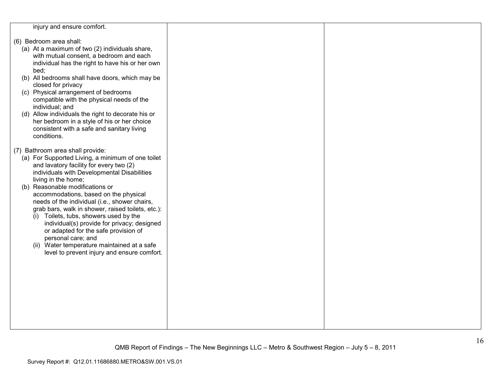injury and ensure comfort.

- (6) Bedroom area shall:
	- (a) At a maximum of two (2) individuals share, with mutual consent, a bedroom and each individual has the right to have his or her own bed;
	- (b) All bedrooms shall have doors, which may be closed for privacy
	- (c) Physical arrangement of bedrooms compatible with the physical needs of the individual; and
	- (d) Allow individuals the right to decorate his or her bedroom in a style of his or her choice consistent with a safe and sanitary living conditions.
- (7) Bathroom area shall provide:
	- (a) For Supported Living, a minimum of one toilet and lavatory facility for every two (2) individuals with Developmental Disabilities living in the home;
	- (b) Reasonable modifications or accommodations, based on the physical needs of the individual (i.e., shower chairs, grab bars, walk in shower, raised toilets, etc.):
		- (i) Toilets, tubs, showers used by the individual(s) provide for privacy; designed or adapted for the safe provision of personal care; and
		- (ii) Water temperature maintained at a safe level to prevent injury and ensure comfort.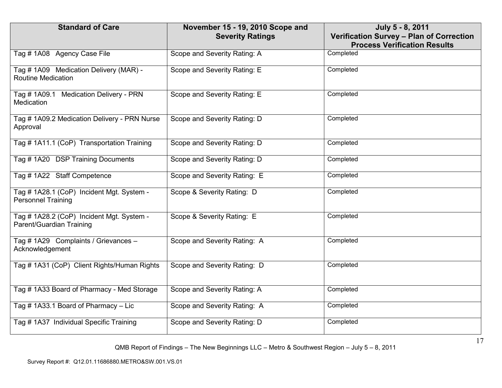| <b>Standard of Care</b>                                                | November 15 - 19, 2010 Scope and<br><b>Severity Ratings</b> | July 5 - 8, 2011<br>Verification Survey - Plan of Correction |
|------------------------------------------------------------------------|-------------------------------------------------------------|--------------------------------------------------------------|
|                                                                        |                                                             | <b>Process Verification Results</b>                          |
| Tag #1A08 Agency Case File                                             | Scope and Severity Rating: A                                | Completed                                                    |
| Tag # 1A09 Medication Delivery (MAR) -<br><b>Routine Medication</b>    | Scope and Severity Rating: E                                | Completed                                                    |
| Tag # 1A09.1 Medication Delivery - PRN<br>Medication                   | Scope and Severity Rating: E                                | Completed                                                    |
| Tag # 1A09.2 Medication Delivery - PRN Nurse<br>Approval               | Scope and Severity Rating: D                                | Completed                                                    |
| Tag # 1A11.1 (CoP) Transportation Training                             | Scope and Severity Rating: D                                | Completed                                                    |
| Tag # 1A20 DSP Training Documents                                      | Scope and Severity Rating: D                                | Completed                                                    |
| Tag #1A22 Staff Competence                                             | Scope and Severity Rating: E                                | Completed                                                    |
| Tag # 1A28.1 (CoP) Incident Mgt. System -<br><b>Personnel Training</b> | Scope & Severity Rating: D                                  | Completed                                                    |
| Tag # 1A28.2 (CoP) Incident Mgt. System -<br>Parent/Guardian Training  | Scope & Severity Rating: E                                  | Completed                                                    |
| Tag # 1A29 Complaints / Grievances -<br>Acknowledgement                | Scope and Severity Rating: A                                | Completed                                                    |
| Tag # 1A31 (CoP) Client Rights/Human Rights                            | Scope and Severity Rating: D                                | Completed                                                    |
| Tag # 1A33 Board of Pharmacy - Med Storage                             | Scope and Severity Rating: A                                | Completed                                                    |
| Tag #1A33.1 Board of Pharmacy - Lic                                    | Scope and Severity Rating: A                                | Completed                                                    |
| Tag # 1A37 Individual Specific Training                                | Scope and Severity Rating: D                                | Completed                                                    |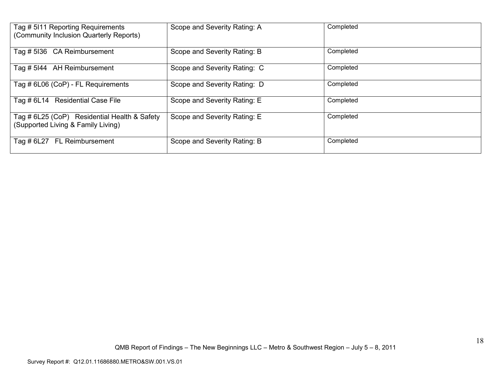| Tag # 5111 Reporting Requirements<br>(Community Inclusion Quarterly Reports)       | Scope and Severity Rating: A | Completed |
|------------------------------------------------------------------------------------|------------------------------|-----------|
| Tag # 5136 CA Reimbursement                                                        | Scope and Severity Rating: B | Completed |
| Tag # 5144 AH Reimbursement                                                        | Scope and Severity Rating: C | Completed |
| Tag # 6L06 (CoP) - FL Requirements                                                 | Scope and Severity Rating: D | Completed |
| Tag # 6L14 Residential Case File                                                   | Scope and Severity Rating: E | Completed |
| Tag # 6L25 (CoP) Residential Health & Safety<br>(Supported Living & Family Living) | Scope and Severity Rating: E | Completed |
| Tag # 6L27 FL Reimbursement                                                        | Scope and Severity Rating: B | Completed |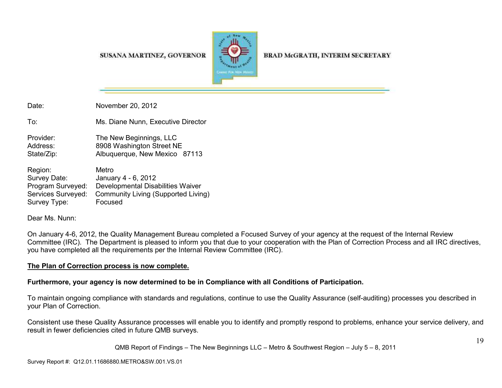#### SUSANA MARTINEZ, GOVERNOR



**BRAD McGRATH, INTERIM SECRETARY** 

Date: November 20, 2012 To: Ms. Diane Nunn, Executive Director Provider: The New Beginnings, LLC Address: 8908 Washington Street NE State/Zip: **Albuquerque, New Mexico 87113** Region: Metro Survey Date: January 4 - 6, 2012

 Program Surveyed: Developmental Disabilities Waiver Services Surveyed: Community Living (Supported Living) Survey Type: Focused

Dear Ms. Nunn:

On January 4-6, 2012, the Quality Management Bureau completed a Focused Survey of your agency at the request of the Internal Review Committee (IRC). The Department is pleased to inform you that due to your cooperation with the Plan of Correction Process and all IRC directives, you have completed all the requirements per the Internal Review Committee (IRC).

# **The Plan of Correction process is now complete.**

# **Furthermore, your agency is now determined to be in Compliance with all Conditions of Participation.**

To maintain ongoing compliance with standards and regulations, continue to use the Quality Assurance (self-auditing) processes you described in your Plan of Correction.

Consistent use these Quality Assurance processes will enable you to identify and promptly respond to problems, enhance your service delivery, and result in fewer deficiencies cited in future QMB surveys.